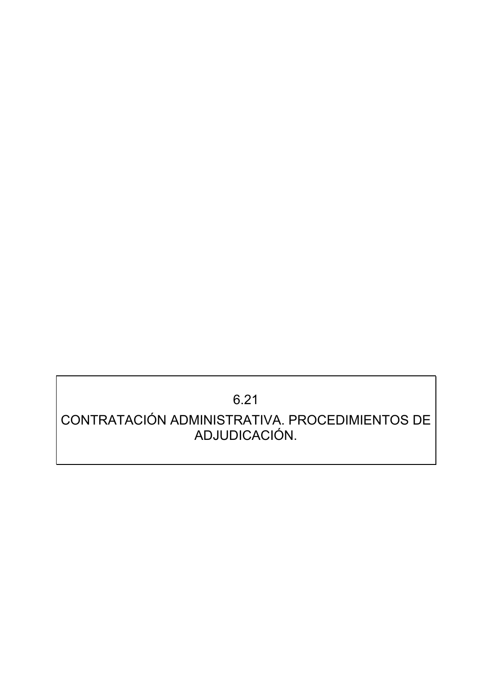# 6.21

## CONTRATACIÓN ADMINISTRATIVA. PROCEDIMIENTOS DE ADJUDICACIÓN.